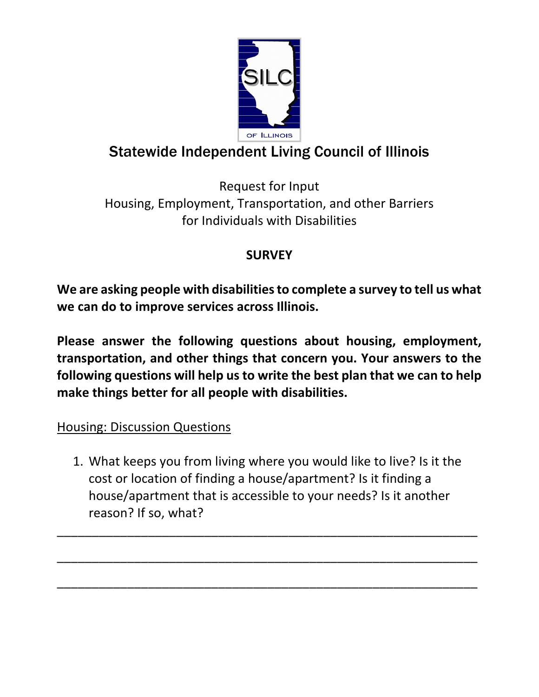

# Statewide Independent Living Council of Illinois

Request for Input Housing, Employment, Transportation, and other Barriers for Individuals with Disabilities

## **SURVEY**

**We are asking people with disabilities to complete a survey to tell us what we can do to improve services across Illinois.** 

**Please answer the following questions about housing, employment, transportation, and other things that concern you. Your answers to the following questions will help us to write the best plan that we can to help make things better for all people with disabilities.**

### Housing: Discussion Questions

1. What keeps you from living where you would like to live? Is it the cost or location of finding a house/apartment? Is it finding a house/apartment that is accessible to your needs? Is it another reason? If so, what?

\_\_\_\_\_\_\_\_\_\_\_\_\_\_\_\_\_\_\_\_\_\_\_\_\_\_\_\_\_\_\_\_\_\_\_\_\_\_\_\_\_\_\_\_\_\_\_\_\_\_\_\_\_\_\_\_\_\_\_\_

\_\_\_\_\_\_\_\_\_\_\_\_\_\_\_\_\_\_\_\_\_\_\_\_\_\_\_\_\_\_\_\_\_\_\_\_\_\_\_\_\_\_\_\_\_\_\_\_\_\_\_\_\_\_\_\_\_\_\_\_

\_\_\_\_\_\_\_\_\_\_\_\_\_\_\_\_\_\_\_\_\_\_\_\_\_\_\_\_\_\_\_\_\_\_\_\_\_\_\_\_\_\_\_\_\_\_\_\_\_\_\_\_\_\_\_\_\_\_\_\_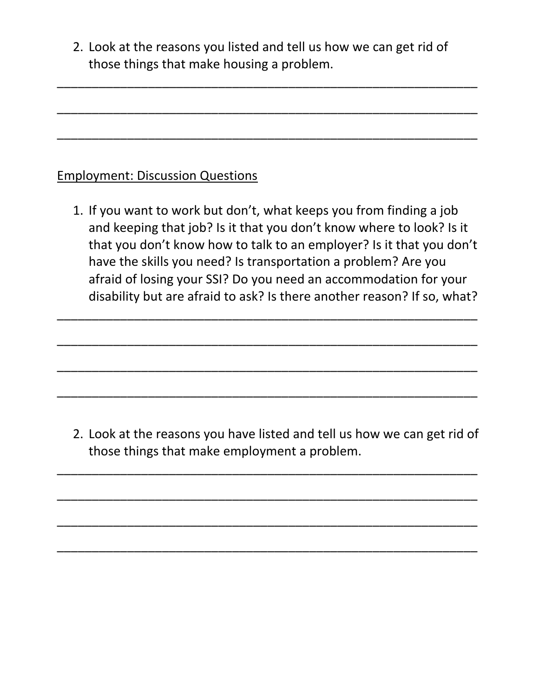2. Look at the reasons you listed and tell us how we can get rid of those things that make housing a problem.

\_\_\_\_\_\_\_\_\_\_\_\_\_\_\_\_\_\_\_\_\_\_\_\_\_\_\_\_\_\_\_\_\_\_\_\_\_\_\_\_\_\_\_\_\_\_\_\_\_\_\_\_\_\_\_\_\_\_\_\_

\_\_\_\_\_\_\_\_\_\_\_\_\_\_\_\_\_\_\_\_\_\_\_\_\_\_\_\_\_\_\_\_\_\_\_\_\_\_\_\_\_\_\_\_\_\_\_\_\_\_\_\_\_\_\_\_\_\_\_\_

\_\_\_\_\_\_\_\_\_\_\_\_\_\_\_\_\_\_\_\_\_\_\_\_\_\_\_\_\_\_\_\_\_\_\_\_\_\_\_\_\_\_\_\_\_\_\_\_\_\_\_\_\_\_\_\_\_\_\_\_

#### Employment: Discussion Questions

1. If you want to work but don't, what keeps you from finding a job and keeping that job? Is it that you don't know where to look? Is it that you don't know how to talk to an employer? Is it that you don't have the skills you need? Is transportation a problem? Are you afraid of losing your SSI? Do you need an accommodation for your disability but are afraid to ask? Is there another reason? If so, what?

\_\_\_\_\_\_\_\_\_\_\_\_\_\_\_\_\_\_\_\_\_\_\_\_\_\_\_\_\_\_\_\_\_\_\_\_\_\_\_\_\_\_\_\_\_\_\_\_\_\_\_\_\_\_\_\_\_\_\_\_

\_\_\_\_\_\_\_\_\_\_\_\_\_\_\_\_\_\_\_\_\_\_\_\_\_\_\_\_\_\_\_\_\_\_\_\_\_\_\_\_\_\_\_\_\_\_\_\_\_\_\_\_\_\_\_\_\_\_\_\_

\_\_\_\_\_\_\_\_\_\_\_\_\_\_\_\_\_\_\_\_\_\_\_\_\_\_\_\_\_\_\_\_\_\_\_\_\_\_\_\_\_\_\_\_\_\_\_\_\_\_\_\_\_\_\_\_\_\_\_\_

\_\_\_\_\_\_\_\_\_\_\_\_\_\_\_\_\_\_\_\_\_\_\_\_\_\_\_\_\_\_\_\_\_\_\_\_\_\_\_\_\_\_\_\_\_\_\_\_\_\_\_\_\_\_\_\_\_\_\_\_

2. Look at the reasons you have listed and tell us how we can get rid of those things that make employment a problem.

\_\_\_\_\_\_\_\_\_\_\_\_\_\_\_\_\_\_\_\_\_\_\_\_\_\_\_\_\_\_\_\_\_\_\_\_\_\_\_\_\_\_\_\_\_\_\_\_\_\_\_\_\_\_\_\_\_\_\_\_

\_\_\_\_\_\_\_\_\_\_\_\_\_\_\_\_\_\_\_\_\_\_\_\_\_\_\_\_\_\_\_\_\_\_\_\_\_\_\_\_\_\_\_\_\_\_\_\_\_\_\_\_\_\_\_\_\_\_\_\_

\_\_\_\_\_\_\_\_\_\_\_\_\_\_\_\_\_\_\_\_\_\_\_\_\_\_\_\_\_\_\_\_\_\_\_\_\_\_\_\_\_\_\_\_\_\_\_\_\_\_\_\_\_\_\_\_\_\_\_\_

\_\_\_\_\_\_\_\_\_\_\_\_\_\_\_\_\_\_\_\_\_\_\_\_\_\_\_\_\_\_\_\_\_\_\_\_\_\_\_\_\_\_\_\_\_\_\_\_\_\_\_\_\_\_\_\_\_\_\_\_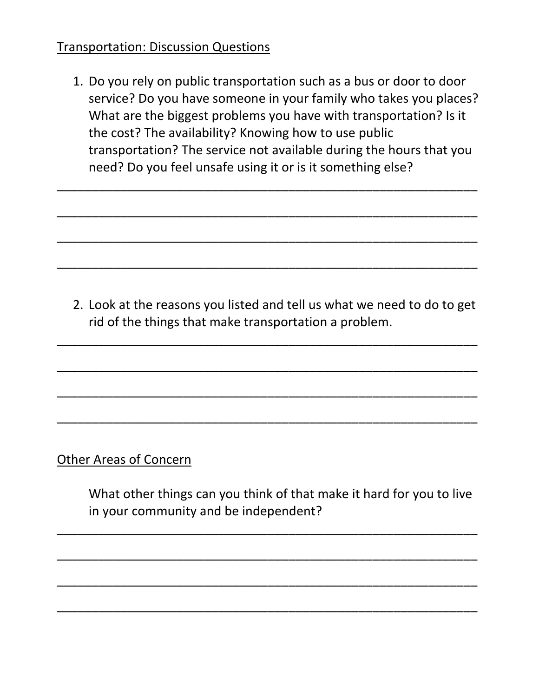#### Transportation: Discussion Questions

1. Do you rely on public transportation such as a bus or door to door service? Do you have someone in your family who takes you places? What are the biggest problems you have with transportation? Is it the cost? The availability? Knowing how to use public transportation? The service not available during the hours that you need? Do you feel unsafe using it or is it something else?

 $\overline{\phantom{a}}$  , and the contract of the contract of the contract of the contract of the contract of the contract of the contract of the contract of the contract of the contract of the contract of the contract of the contrac

 $\overline{\phantom{a}}$  , and the contract of the contract of the contract of the contract of the contract of the contract of the contract of the contract of the contract of the contract of the contract of the contract of the contrac

 $\overline{\phantom{a}}$  , and the contract of the contract of the contract of the contract of the contract of the contract of the contract of the contract of the contract of the contract of the contract of the contract of the contrac

\_\_\_\_\_\_\_\_\_\_\_\_\_\_\_\_\_\_\_\_\_\_\_\_\_\_\_\_\_\_\_\_\_\_\_\_\_\_\_\_\_\_\_\_\_\_\_\_\_\_\_\_\_\_\_\_\_\_\_\_

2. Look at the reasons you listed and tell us what we need to do to get rid of the things that make transportation a problem.

\_\_\_\_\_\_\_\_\_\_\_\_\_\_\_\_\_\_\_\_\_\_\_\_\_\_\_\_\_\_\_\_\_\_\_\_\_\_\_\_\_\_\_\_\_\_\_\_\_\_\_\_\_\_\_\_\_\_\_\_

\_\_\_\_\_\_\_\_\_\_\_\_\_\_\_\_\_\_\_\_\_\_\_\_\_\_\_\_\_\_\_\_\_\_\_\_\_\_\_\_\_\_\_\_\_\_\_\_\_\_\_\_\_\_\_\_\_\_\_\_

\_\_\_\_\_\_\_\_\_\_\_\_\_\_\_\_\_\_\_\_\_\_\_\_\_\_\_\_\_\_\_\_\_\_\_\_\_\_\_\_\_\_\_\_\_\_\_\_\_\_\_\_\_\_\_\_\_\_\_\_

\_\_\_\_\_\_\_\_\_\_\_\_\_\_\_\_\_\_\_\_\_\_\_\_\_\_\_\_\_\_\_\_\_\_\_\_\_\_\_\_\_\_\_\_\_\_\_\_\_\_\_\_\_\_\_\_\_\_\_\_

Other Areas of Concern

What other things can you think of that make it hard for you to live in your community and be independent?

\_\_\_\_\_\_\_\_\_\_\_\_\_\_\_\_\_\_\_\_\_\_\_\_\_\_\_\_\_\_\_\_\_\_\_\_\_\_\_\_\_\_\_\_\_\_\_\_\_\_\_\_\_\_\_\_\_\_\_\_

\_\_\_\_\_\_\_\_\_\_\_\_\_\_\_\_\_\_\_\_\_\_\_\_\_\_\_\_\_\_\_\_\_\_\_\_\_\_\_\_\_\_\_\_\_\_\_\_\_\_\_\_\_\_\_\_\_\_\_\_

\_\_\_\_\_\_\_\_\_\_\_\_\_\_\_\_\_\_\_\_\_\_\_\_\_\_\_\_\_\_\_\_\_\_\_\_\_\_\_\_\_\_\_\_\_\_\_\_\_\_\_\_\_\_\_\_\_\_\_\_

 $\overline{\phantom{a}}$  , and the contract of the contract of the contract of the contract of the contract of the contract of the contract of the contract of the contract of the contract of the contract of the contract of the contrac